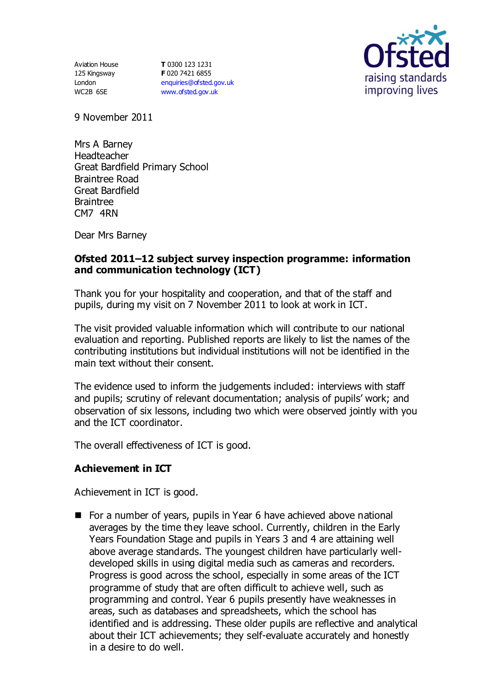Aviation House 125 Kingsway London WC2B 6SE

**T** 0300 123 1231 **F** 020 7421 6855 [enquiries@ofsted.gov.uk](mailto:enquiries@ofsted.gov.uk) [www.ofsted.gov.uk](http://www.ofsted.gov.uk/)



9 November 2011

Mrs A Barney Headteacher Great Bardfield Primary School Braintree Road Great Bardfield Braintree CM7 4RN

Dear Mrs Barney

#### **Ofsted 2011–12 subject survey inspection programme: information and communication technology (ICT)**

Thank you for your hospitality and cooperation, and that of the staff and pupils, during my visit on 7 November 2011 to look at work in ICT.

The visit provided valuable information which will contribute to our national evaluation and reporting. Published reports are likely to list the names of the contributing institutions but individual institutions will not be identified in the main text without their consent.

The evidence used to inform the judgements included: interviews with staff and pupils; scrutiny of relevant documentation; analysis of pupils' work; and observation of six lessons, including two which were observed jointly with you and the ICT coordinator.

The overall effectiveness of ICT is good.

### **Achievement in ICT**

Achievement in ICT is good.

■ For a number of years, pupils in Year 6 have achieved above national averages by the time they leave school. Currently, children in the Early Years Foundation Stage and pupils in Years 3 and 4 are attaining well above average standards. The youngest children have particularly welldeveloped skills in using digital media such as cameras and recorders. Progress is good across the school, especially in some areas of the ICT programme of study that are often difficult to achieve well, such as programming and control. Year 6 pupils presently have weaknesses in areas, such as databases and spreadsheets, which the school has identified and is addressing. These older pupils are reflective and analytical about their ICT achievements; they self-evaluate accurately and honestly in a desire to do well.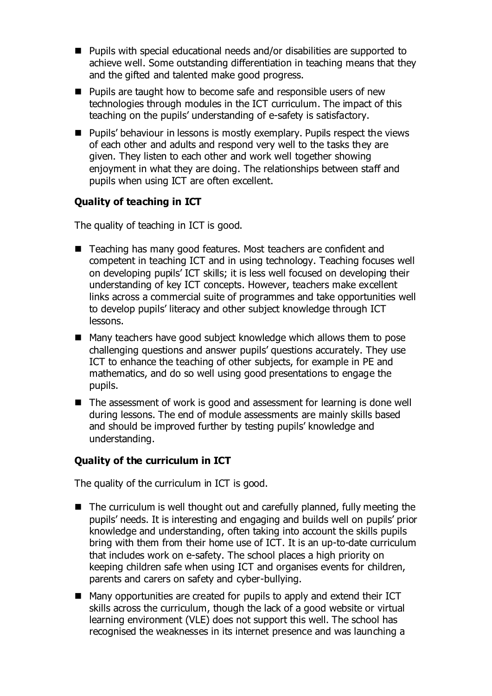- Pupils with special educational needs and/or disabilities are supported to achieve well. Some outstanding differentiation in teaching means that they and the gifted and talented make good progress.
- **Pupils are taught how to become safe and responsible users of new** technologies through modules in the ICT curriculum. The impact of this teaching on the pupils' understanding of e-safety is satisfactory.
- **Pupils' behaviour in lessons is mostly exemplary. Pupils respect the views** of each other and adults and respond very well to the tasks they are given. They listen to each other and work well together showing enjoyment in what they are doing. The relationships between staff and pupils when using ICT are often excellent.

# **Quality of teaching in ICT**

The quality of teaching in ICT is good.

- Teaching has many good features. Most teachers are confident and competent in teaching ICT and in using technology. Teaching focuses well on developing pupils' ICT skills; it is less well focused on developing their understanding of key ICT concepts. However, teachers make excellent links across a commercial suite of programmes and take opportunities well to develop pupils' literacy and other subject knowledge through ICT lessons.
- Many teachers have good subject knowledge which allows them to pose challenging questions and answer pupils' questions accurately. They use ICT to enhance the teaching of other subjects, for example in PE and mathematics, and do so well using good presentations to engage the pupils.
- The assessment of work is good and assessment for learning is done well during lessons. The end of module assessments are mainly skills based and should be improved further by testing pupils' knowledge and understanding.

## **Quality of the curriculum in ICT**

The quality of the curriculum in ICT is good.

- The curriculum is well thought out and carefully planned, fully meeting the pupils' needs. It is interesting and engaging and builds well on pupils' prior knowledge and understanding, often taking into account the skills pupils bring with them from their home use of ICT. It is an up-to-date curriculum that includes work on e-safety. The school places a high priority on keeping children safe when using ICT and organises events for children, parents and carers on safety and cyber-bullying.
- Many opportunities are created for pupils to apply and extend their ICT skills across the curriculum, though the lack of a good website or virtual learning environment (VLE) does not support this well. The school has recognised the weaknesses in its internet presence and was launching a